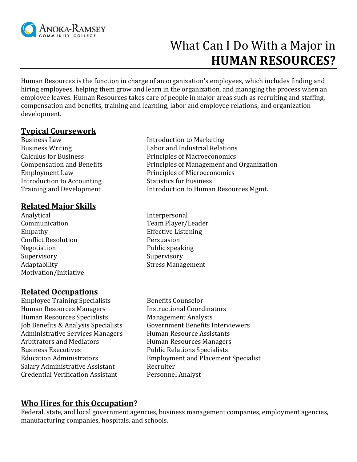

# What Can I Do With a Major in **HUMAN RESOURCES?**

Human Resources is the function in charge of an organization's employees, which includes finding and hiring employees, helping them grow and learn in the organization, and managing the process when an employee leaves. Human Resources takes care of people in major areas such as recruiting and staffing, compensation and benefits, training and learning, labor and employee relations, and organization development.

## **Typical Coursework**

Business Law Introduction to Marketing Introduction to Accounting Statistics for Business

## **Related Major Skills**

Analytical Interpersonal Communication Team Player/Leader Empathy Effective Listening Conflict Resolution Persuasion Negotiation Public speaking Supervisory Supervisory Adaptability **Stress Management** Motivation/Initiative

#### **Related Occupations**

Employee Training Specialists Benefits Counselor Human Resources Managers Instructional Coordinators Human Resources Specialists Management Analysts Administrative Services Managers Human Resource Assistants Arbitrators and Mediators **Human Resources Managers** Business Executives **Public Relations** Specialists Salary Administrative Assistant Recruiter Credential Verification Assistant Personnel Analyst

- Business Writing Labor and Industrial Relations Calculus for Business Principles of Macroeconomics Compensation and Benefits Principles of Management and Organization Employment Law Principles of Microeconomics Training and Development Introduction to Human Resources Mgmt.
	-
- Job Benefits & Analysis Specialists Government Benefits Interviewers Education Administrators Employment and Placement Specialist

# **Who Hires for this Occupation?**

Federal, state, and local government agencies, business management companies, employment agencies, manufacturing companies, hospitals, and schools.